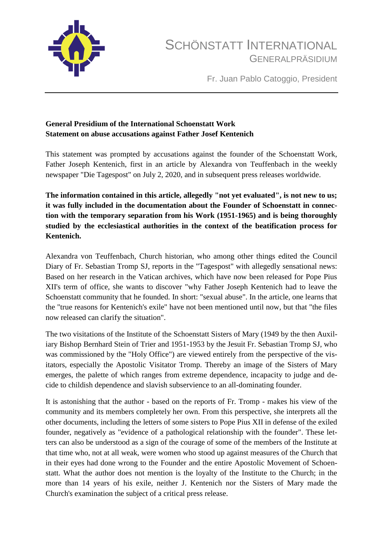

Fr. Juan Pablo Catoggio, President

## **General Presidium of the International Schoenstatt Work Statement on abuse accusations against Father Josef Kentenich**

This statement was prompted by accusations against the founder of the Schoenstatt Work, Father Joseph Kentenich, first in an article by Alexandra von Teuffenbach in the weekly newspaper "Die Tagespost" on July 2, 2020, and in subsequent press releases worldwide.

**The information contained in this article, allegedly "not yet evaluated", is not new to us; it was fully included in the documentation about the Founder of Schoenstatt in connection with the temporary separation from his Work (1951-1965) and is being thoroughly studied by the ecclesiastical authorities in the context of the beatification process for Kentenich.**

Alexandra von Teuffenbach, Church historian, who among other things edited the Council Diary of Fr. Sebastian Tromp SJ, reports in the "Tagespost" with allegedly sensational news: Based on her research in the Vatican archives, which have now been released for Pope Pius XII's term of office, she wants to discover "why Father Joseph Kentenich had to leave the Schoenstatt community that he founded. In short: "sexual abuse". In the article, one learns that the "true reasons for Kentenich's exile" have not been mentioned until now, but that "the files now released can clarify the situation".

The two visitations of the Institute of the Schoenstatt Sisters of Mary (1949 by the then Auxiliary Bishop Bernhard Stein of Trier and 1951-1953 by the Jesuit Fr. Sebastian Tromp SJ, who was commissioned by the "Holy Office") are viewed entirely from the perspective of the visitators, especially the Apostolic Visitator Tromp. Thereby an image of the Sisters of Mary emerges, the palette of which ranges from extreme dependence, incapacity to judge and decide to childish dependence and slavish subservience to an all-dominating founder.

It is astonishing that the author - based on the reports of Fr. Tromp - makes his view of the community and its members completely her own. From this perspective, she interprets all the other documents, including the letters of some sisters to Pope Pius XII in defense of the exiled founder, negatively as "evidence of a pathological relationship with the founder". These letters can also be understood as a sign of the courage of some of the members of the Institute at that time who, not at all weak, were women who stood up against measures of the Church that in their eyes had done wrong to the Founder and the entire Apostolic Movement of Schoenstatt. What the author does not mention is the loyalty of the Institute to the Church; in the more than 14 years of his exile, neither J. Kentenich nor the Sisters of Mary made the Church's examination the subject of a critical press release.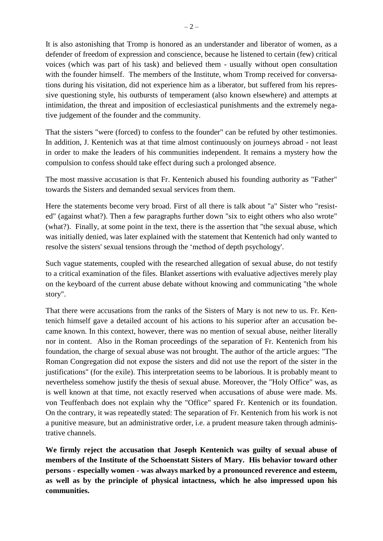It is also astonishing that Tromp is honored as an understander and liberator of women, as a defender of freedom of expression and conscience, because he listened to certain (few) critical voices (which was part of his task) and believed them - usually without open consultation with the founder himself. The members of the Institute, whom Tromp received for conversations during his visitation, did not experience him as a liberator, but suffered from his repressive questioning style, his outbursts of temperament (also known elsewhere) and attempts at intimidation, the threat and imposition of ecclesiastical punishments and the extremely negative judgement of the founder and the community.

That the sisters "were (forced) to confess to the founder" can be refuted by other testimonies. In addition, J. Kentenich was at that time almost continuously on journeys abroad - not least in order to make the leaders of his communities independent. It remains a mystery how the compulsion to confess should take effect during such a prolonged absence.

The most massive accusation is that Fr. Kentenich abused his founding authority as "Father" towards the Sisters and demanded sexual services from them.

Here the statements become very broad. First of all there is talk about "a" Sister who "resisted" (against what?). Then a few paragraphs further down "six to eight others who also wrote" (what?). Finally, at some point in the text, there is the assertion that "the sexual abuse, which was initially denied, was later explained with the statement that Kentenich had only wanted to resolve the sisters' sexual tensions through the 'method of depth psychology'.

Such vague statements, coupled with the researched allegation of sexual abuse, do not testify to a critical examination of the files. Blanket assertions with evaluative adjectives merely play on the keyboard of the current abuse debate without knowing and communicating "the whole story".

That there were accusations from the ranks of the Sisters of Mary is not new to us. Fr. Kentenich himself gave a detailed account of his actions to his superior after an accusation became known. In this context, however, there was no mention of sexual abuse, neither literally nor in content. Also in the Roman proceedings of the separation of Fr. Kentenich from his foundation, the charge of sexual abuse was not brought. The author of the article argues: "The Roman Congregation did not expose the sisters and did not use the report of the sister in the justifications" (for the exile). This interpretation seems to be laborious. It is probably meant to nevertheless somehow justify the thesis of sexual abuse. Moreover, the "Holy Office" was, as is well known at that time, not exactly reserved when accusations of abuse were made. Ms. von Teuffenbach does not explain why the "Office" spared Fr. Kentenich or its foundation. On the contrary, it was repeatedly stated: The separation of Fr. Kentenich from his work is not a punitive measure, but an administrative order, i.e. a prudent measure taken through administrative channels.

**We firmly reject the accusation that Joseph Kentenich was guilty of sexual abuse of members of the Institute of the Schoenstatt Sisters of Mary. His behavior toward other persons - especially women - was always marked by a pronounced reverence and esteem, as well as by the principle of physical intactness, which he also impressed upon his communities.**